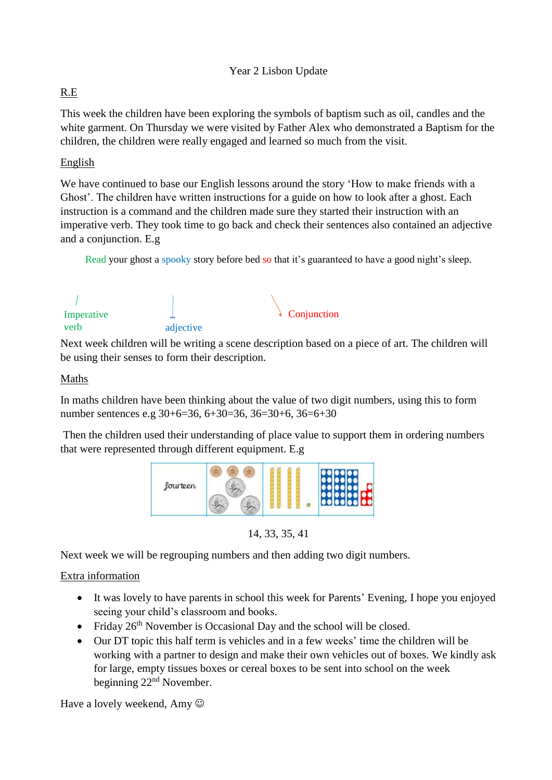## R.E

This week the children have been exploring the symbols of baptism such as oil, candles and the white garment. On Thursday we were visited by Father Alex who demonstrated a Baptism for the children, the children were really engaged and learned so much from the visit.

## English

We have continued to base our English lessons around the story 'How to make friends with a Ghost'. The children have written instructions for a guide on how to look after a ghost. Each instruction is a command and the children made sure they started their instruction with an imperative verb. They took time to go back and check their sentences also contained an adjective and a conjunction. E.g

Read your ghost a spooky story before bed so that it's guaranteed to have a good night's sleep.



Next week children will be writing a scene description based on a piece of art. The children will be using their senses to form their description.

## Maths

In maths children have been thinking about the value of two digit numbers, using this to form number sentences e.g 30+6=36, 6+30=36, 36=30+6, 36=6+30

Then the children used their understanding of place value to support them in ordering numbers that were represented through different equipment. E.g



14, 33, 35, 41

Next week we will be regrouping numbers and then adding two digit numbers.

## Extra information

- It was lovely to have parents in school this week for Parents' Evening, I hope you enjoyed seeing your child's classroom and books.
- Friday  $26<sup>th</sup>$  November is Occasional Day and the school will be closed.
- Our DT topic this half term is vehicles and in a few weeks' time the children will be working with a partner to design and make their own vehicles out of boxes. We kindly ask for large, empty tissues boxes or cereal boxes to be sent into school on the week beginning 22nd November.

Have a lovely weekend, Amy  $\odot$